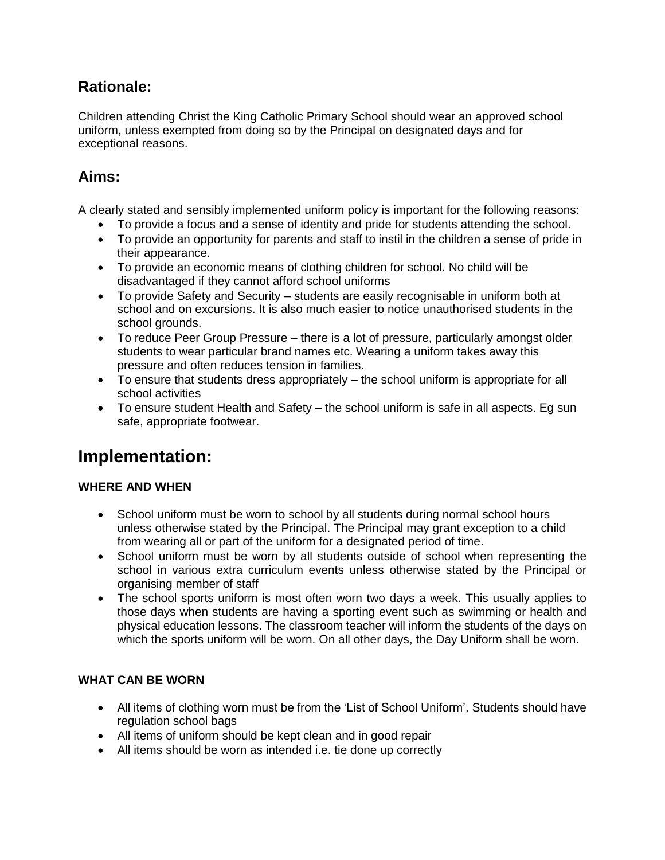# **Rationale:**

Children attending Christ the King Catholic Primary School should wear an approved school uniform, unless exempted from doing so by the Principal on designated days and for exceptional reasons.

# **Aims:**

A clearly stated and sensibly implemented uniform policy is important for the following reasons:

- To provide a focus and a sense of identity and pride for students attending the school.
- To provide an opportunity for parents and staff to instil in the children a sense of pride in their appearance.
- To provide an economic means of clothing children for school. No child will be disadvantaged if they cannot afford school uniforms
- To provide Safety and Security students are easily recognisable in uniform both at school and on excursions. It is also much easier to notice unauthorised students in the school grounds.
- To reduce Peer Group Pressure there is a lot of pressure, particularly amongst older students to wear particular brand names etc. Wearing a uniform takes away this pressure and often reduces tension in families.
- To ensure that students dress appropriately the school uniform is appropriate for all school activities
- To ensure student Health and Safety the school uniform is safe in all aspects. Eg sun safe, appropriate footwear.

# **Implementation:**

# **WHERE AND WHEN**

- School uniform must be worn to school by all students during normal school hours unless otherwise stated by the Principal. The Principal may grant exception to a child from wearing all or part of the uniform for a designated period of time.
- School uniform must be worn by all students outside of school when representing the school in various extra curriculum events unless otherwise stated by the Principal or organising member of staff
- The school sports uniform is most often worn two days a week. This usually applies to those days when students are having a sporting event such as swimming or health and physical education lessons. The classroom teacher will inform the students of the days on which the sports uniform will be worn. On all other days, the Day Uniform shall be worn.

# **WHAT CAN BE WORN**

- All items of clothing worn must be from the 'List of School Uniform'. Students should have regulation school bags
- All items of uniform should be kept clean and in good repair
- All items should be worn as intended i.e. tie done up correctly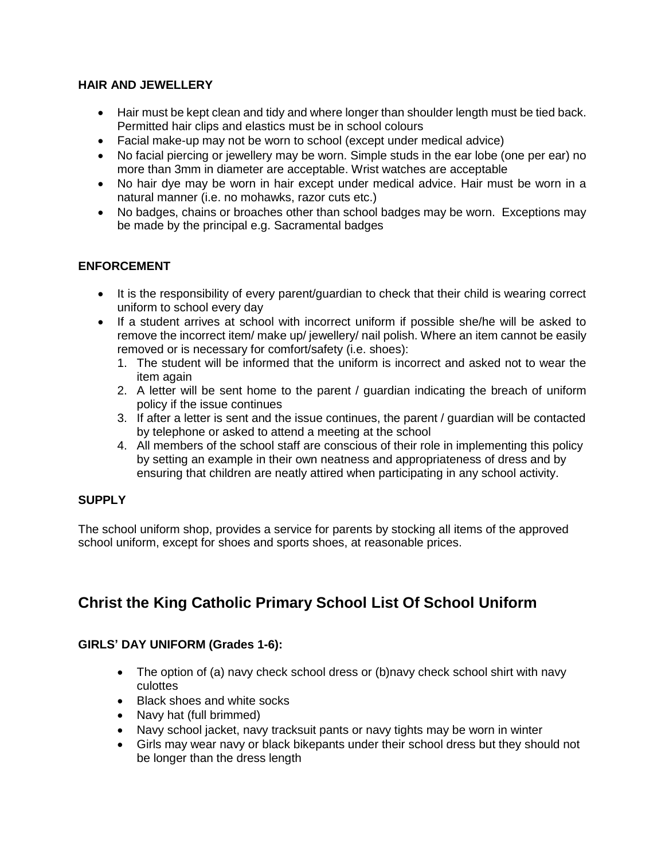### **HAIR AND JEWELLERY**

- Hair must be kept clean and tidy and where longer than shoulder length must be tied back. Permitted hair clips and elastics must be in school colours
- Facial make-up may not be worn to school (except under medical advice)
- No facial piercing or jewellery may be worn. Simple studs in the ear lobe (one per ear) no more than 3mm in diameter are acceptable. Wrist watches are acceptable
- No hair dye may be worn in hair except under medical advice. Hair must be worn in a natural manner (i.e. no mohawks, razor cuts etc.)
- No badges, chains or broaches other than school badges may be worn. Exceptions may be made by the principal e.g. Sacramental badges

# **ENFORCEMENT**

- It is the responsibility of every parent/guardian to check that their child is wearing correct uniform to school every day
- If a student arrives at school with incorrect uniform if possible she/he will be asked to remove the incorrect item/ make up/ jewellery/ nail polish. Where an item cannot be easily removed or is necessary for comfort/safety (i.e. shoes):
	- 1. The student will be informed that the uniform is incorrect and asked not to wear the item again
	- 2. A letter will be sent home to the parent / guardian indicating the breach of uniform policy if the issue continues
	- 3. If after a letter is sent and the issue continues, the parent / guardian will be contacted by telephone or asked to attend a meeting at the school
	- 4. All members of the school staff are conscious of their role in implementing this policy by setting an example in their own neatness and appropriateness of dress and by ensuring that children are neatly attired when participating in any school activity.

# **SUPPLY**

The school uniform shop, provides a service for parents by stocking all items of the approved school uniform, except for shoes and sports shoes, at reasonable prices.

# **Christ the King Catholic Primary School List Of School Uniform**

# **GIRLS' DAY UNIFORM (Grades 1-6):**

- The option of (a) navy check school dress or (b)navy check school shirt with navy culottes
- Black shoes and white socks
- Navy hat (full brimmed)
- Navy school jacket, navy tracksuit pants or navy tights may be worn in winter
- Girls may wear navy or black bikepants under their school dress but they should not be longer than the dress length